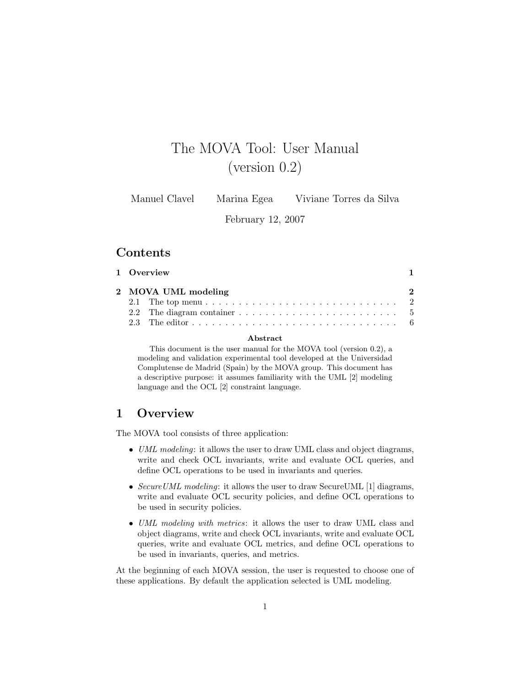# The MOVA Tool: User Manual (version 0.2)

Manuel Clavel Marina Egea Viviane Torres da Silva

February 12, 2007

### Contents

| 1 Overview<br>$\mathbf{1}$ |                                                                                                            |  |  |
|----------------------------|------------------------------------------------------------------------------------------------------------|--|--|
|                            | 2 MOVA UML modeling                                                                                        |  |  |
|                            |                                                                                                            |  |  |
|                            | 2.2 The diagram container $\ldots \ldots \ldots \ldots \ldots \ldots \ldots$                               |  |  |
|                            | 2.3 The editor $\ldots$ $\ldots$ $\ldots$ $\ldots$ $\ldots$ $\ldots$ $\ldots$ $\ldots$ $\ldots$ $\ldots$ 6 |  |  |

#### Abstract

This document is the user manual for the MOVA tool (version 0.2), a modeling and validation experimental tool developed at the Universidad Complutense de Madrid (Spain) by the MOVA group. This document has a descriptive purpose: it assumes familiarity with the UML [2] modeling language and the OCL [2] constraint language.

### 1 Overview

The MOVA tool consists of three application:

- UML modeling: it allows the user to draw UML class and object diagrams, write and check OCL invariants, write and evaluate OCL queries, and define OCL operations to be used in invariants and queries.
- Secure UML modeling: it allows the user to draw Secure UML [1] diagrams, write and evaluate OCL security policies, and define OCL operations to be used in security policies.
- UML modeling with metrics: it allows the user to draw UML class and object diagrams, write and check OCL invariants, write and evaluate OCL queries, write and evaluate OCL metrics, and define OCL operations to be used in invariants, queries, and metrics.

At the beginning of each MOVA session, the user is requested to choose one of these applications. By default the application selected is UML modeling.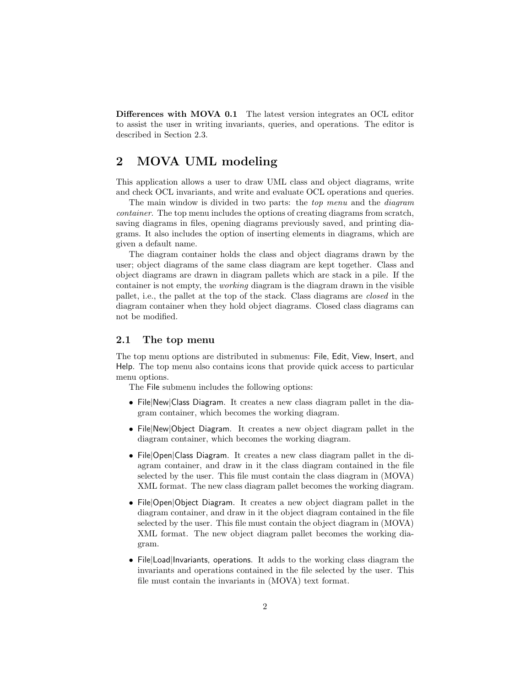Differences with MOVA 0.1 The latest version integrates an OCL editor to assist the user in writing invariants, queries, and operations. The editor is described in Section 2.3.

### 2 MOVA UML modeling

This application allows a user to draw UML class and object diagrams, write and check OCL invariants, and write and evaluate OCL operations and queries.

The main window is divided in two parts: the *top menu* and the *diagram* container. The top menu includes the options of creating diagrams from scratch, saving diagrams in files, opening diagrams previously saved, and printing diagrams. It also includes the option of inserting elements in diagrams, which are given a default name.

The diagram container holds the class and object diagrams drawn by the user; object diagrams of the same class diagram are kept together. Class and object diagrams are drawn in diagram pallets which are stack in a pile. If the container is not empty, the working diagram is the diagram drawn in the visible pallet, i.e., the pallet at the top of the stack. Class diagrams are closed in the diagram container when they hold object diagrams. Closed class diagrams can not be modified.

#### 2.1 The top menu

The top menu options are distributed in submenus: File, Edit, View, Insert, and Help. The top menu also contains icons that provide quick access to particular menu options.

The File submenu includes the following options:

- File|New|Class Diagram. It creates a new class diagram pallet in the diagram container, which becomes the working diagram.
- File|New|Object Diagram. It creates a new object diagram pallet in the diagram container, which becomes the working diagram.
- File|Open|Class Diagram. It creates a new class diagram pallet in the diagram container, and draw in it the class diagram contained in the file selected by the user. This file must contain the class diagram in (MOVA) XML format. The new class diagram pallet becomes the working diagram.
- File|Open|Object Diagram. It creates a new object diagram pallet in the diagram container, and draw in it the object diagram contained in the file selected by the user. This file must contain the object diagram in (MOVA) XML format. The new object diagram pallet becomes the working diagram.
- File|Load|Invariants, operations. It adds to the working class diagram the invariants and operations contained in the file selected by the user. This file must contain the invariants in (MOVA) text format.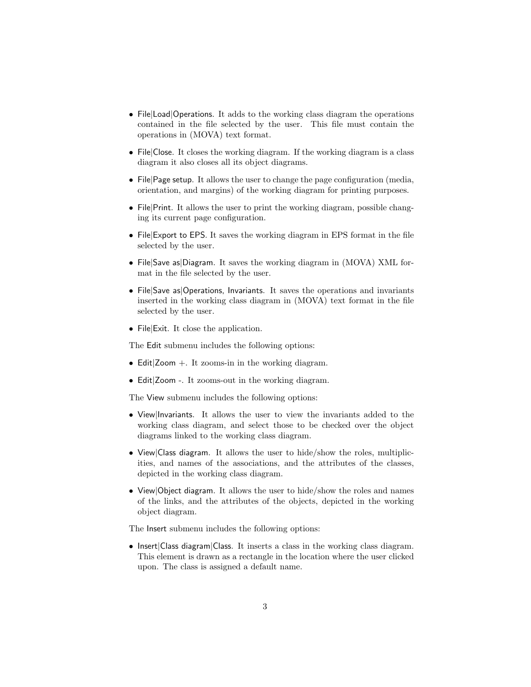- File|Load|Operations. It adds to the working class diagram the operations contained in the file selected by the user. This file must contain the operations in (MOVA) text format.
- File|Close. It closes the working diagram. If the working diagram is a class diagram it also closes all its object diagrams.
- File|Page setup. It allows the user to change the page configuration (media, orientation, and margins) of the working diagram for printing purposes.
- File|Print. It allows the user to print the working diagram, possible changing its current page configuration.
- File|Export to EPS. It saves the working diagram in EPS format in the file selected by the user.
- File|Save as|Diagram. It saves the working diagram in (MOVA) XML format in the file selected by the user.
- File|Save as|Operations, Invariants. It saves the operations and invariants inserted in the working class diagram in (MOVA) text format in the file selected by the user.
- File|Exit. It close the application.

The Edit submenu includes the following options:

- Edit  $Z$ oom  $+$ . It zooms-in in the working diagram.
- Edit|Zoom -. It zooms-out in the working diagram.

The View submenu includes the following options:

- View|Invariants. It allows the user to view the invariants added to the working class diagram, and select those to be checked over the object diagrams linked to the working class diagram.
- View|Class diagram. It allows the user to hide/show the roles, multiplicities, and names of the associations, and the attributes of the classes, depicted in the working class diagram.
- View|Object diagram. It allows the user to hide/show the roles and names of the links, and the attributes of the objects, depicted in the working object diagram.

The Insert submenu includes the following options:

• Insert|Class diagram|Class. It inserts a class in the working class diagram. This element is drawn as a rectangle in the location where the user clicked upon. The class is assigned a default name.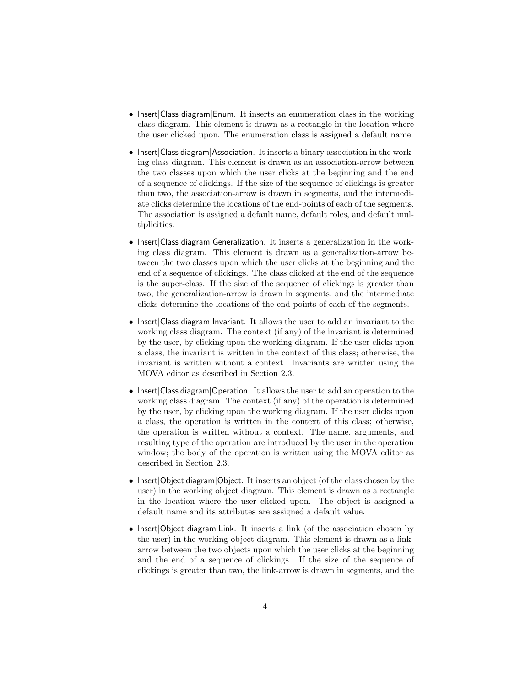- Insert Class diagram Enum. It inserts an enumeration class in the working class diagram. This element is drawn as a rectangle in the location where the user clicked upon. The enumeration class is assigned a default name.
- Insert|Class diagram|Association. It inserts a binary association in the working class diagram. This element is drawn as an association-arrow between the two classes upon which the user clicks at the beginning and the end of a sequence of clickings. If the size of the sequence of clickings is greater than two, the association-arrow is drawn in segments, and the intermediate clicks determine the locations of the end-points of each of the segments. The association is assigned a default name, default roles, and default multiplicities.
- Insert|Class diagram|Generalization. It inserts a generalization in the working class diagram. This element is drawn as a generalization-arrow between the two classes upon which the user clicks at the beginning and the end of a sequence of clickings. The class clicked at the end of the sequence is the super-class. If the size of the sequence of clickings is greater than two, the generalization-arrow is drawn in segments, and the intermediate clicks determine the locations of the end-points of each of the segments.
- Insert|Class diagram|Invariant. It allows the user to add an invariant to the working class diagram. The context (if any) of the invariant is determined by the user, by clicking upon the working diagram. If the user clicks upon a class, the invariant is written in the context of this class; otherwise, the invariant is written without a context. Invariants are written using the MOVA editor as described in Section 2.3.
- Insert|Class diagram|Operation. It allows the user to add an operation to the working class diagram. The context (if any) of the operation is determined by the user, by clicking upon the working diagram. If the user clicks upon a class, the operation is written in the context of this class; otherwise, the operation is written without a context. The name, arguments, and resulting type of the operation are introduced by the user in the operation window; the body of the operation is written using the MOVA editor as described in Section 2.3.
- Insert|Object diagram|Object. It inserts an object (of the class chosen by the user) in the working object diagram. This element is drawn as a rectangle in the location where the user clicked upon. The object is assigned a default name and its attributes are assigned a default value.
- Insert|Object diagram|Link. It inserts a link (of the association chosen by the user) in the working object diagram. This element is drawn as a linkarrow between the two objects upon which the user clicks at the beginning and the end of a sequence of clickings. If the size of the sequence of clickings is greater than two, the link-arrow is drawn in segments, and the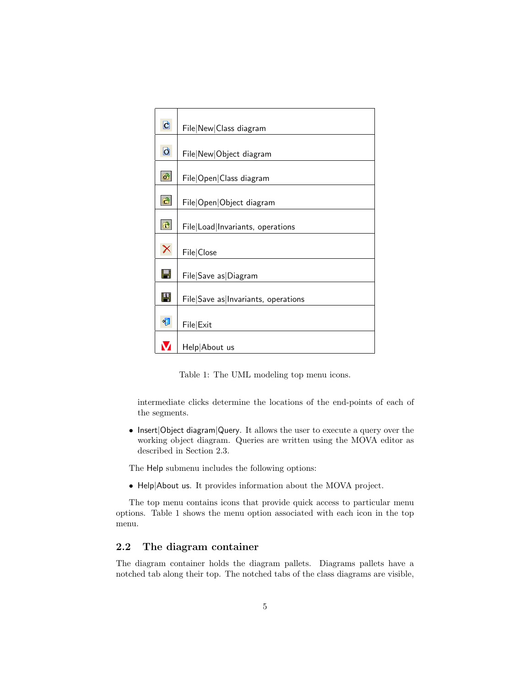| d                       | File New Class diagram              |
|-------------------------|-------------------------------------|
|                         |                                     |
| $\overline{\mathsf{d}}$ | File New Object diagram             |
| $\mathbf{c}^2$          | File Open Class diagram             |
| $\hat{\boldsymbol{c}}$  | File Open Object diagram            |
| 子                       | File Load Invariants, operations    |
| X                       | File Close                          |
| H                       | File Save as Diagram                |
| 凹                       | File Save as Invariants, operations |
| 忉                       | File Exit                           |
|                         | Help About us                       |

Table 1: The UML modeling top menu icons.

intermediate clicks determine the locations of the end-points of each of the segments.

• Insert|Object diagram|Query. It allows the user to execute a query over the working object diagram. Queries are written using the MOVA editor as described in Section 2.3.

The Help submenu includes the following options:

• Help|About us. It provides information about the MOVA project.

The top menu contains icons that provide quick access to particular menu options. Table 1 shows the menu option associated with each icon in the top menu.

### 2.2 The diagram container

The diagram container holds the diagram pallets. Diagrams pallets have a notched tab along their top. The notched tabs of the class diagrams are visible,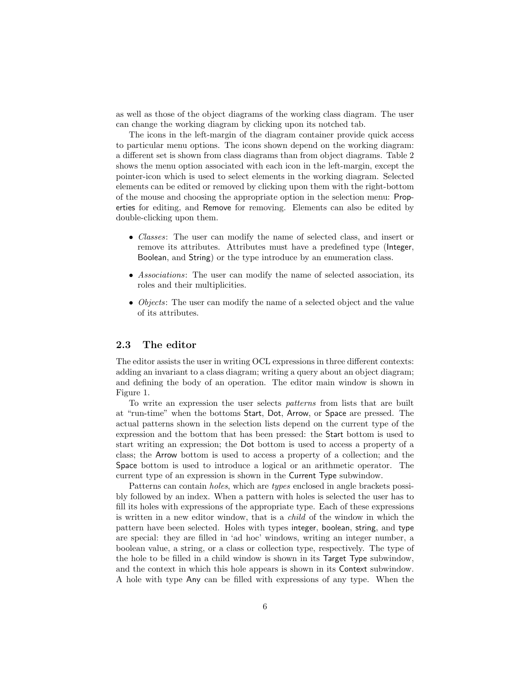as well as those of the object diagrams of the working class diagram. The user can change the working diagram by clicking upon its notched tab.

The icons in the left-margin of the diagram container provide quick access to particular menu options. The icons shown depend on the working diagram: a different set is shown from class diagrams than from object diagrams. Table 2 shows the menu option associated with each icon in the left-margin, except the pointer-icon which is used to select elements in the working diagram. Selected elements can be edited or removed by clicking upon them with the right-bottom of the mouse and choosing the appropriate option in the selection menu: Properties for editing, and Remove for removing. Elements can also be edited by double-clicking upon them.

- Classes: The user can modify the name of selected class, and insert or remove its attributes. Attributes must have a predefined type (Integer, Boolean, and String) or the type introduce by an enumeration class.
- Associations: The user can modify the name of selected association, its roles and their multiplicities.
- *Objects*: The user can modify the name of a selected object and the value of its attributes.

#### 2.3 The editor

The editor assists the user in writing OCL expressions in three different contexts: adding an invariant to a class diagram; writing a query about an object diagram; and defining the body of an operation. The editor main window is shown in Figure 1.

To write an expression the user selects patterns from lists that are built at "run-time" when the bottoms Start, Dot, Arrow, or Space are pressed. The actual patterns shown in the selection lists depend on the current type of the expression and the bottom that has been pressed: the Start bottom is used to start writing an expression; the Dot bottom is used to access a property of a class; the Arrow bottom is used to access a property of a collection; and the Space bottom is used to introduce a logical or an arithmetic operator. The current type of an expression is shown in the Current Type subwindow.

Patterns can contain *holes*, which are *types* enclosed in angle brackets possibly followed by an index. When a pattern with holes is selected the user has to fill its holes with expressions of the appropriate type. Each of these expressions is written in a new editor window, that is a child of the window in which the pattern have been selected. Holes with types integer, boolean, string, and type are special: they are filled in 'ad hoc' windows, writing an integer number, a boolean value, a string, or a class or collection type, respectively. The type of the hole to be filled in a child window is shown in its Target Type subwindow, and the context in which this hole appears is shown in its Context subwindow. A hole with type Any can be filled with expressions of any type. When the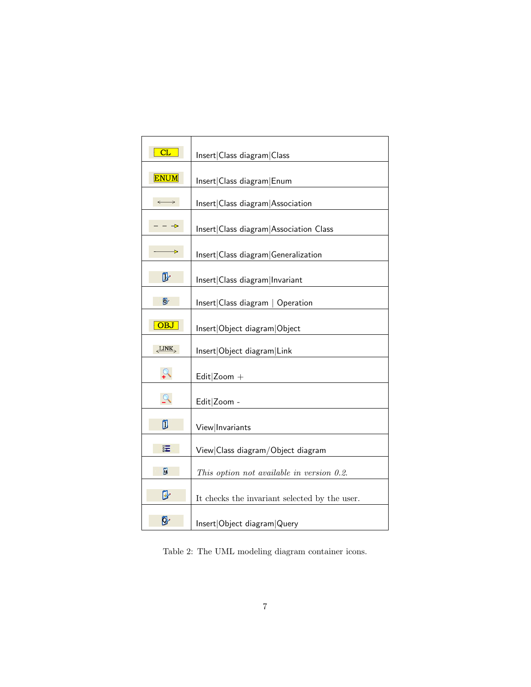| CL                    | Insert Class diagram Class                    |
|-----------------------|-----------------------------------------------|
| <b>ENUM</b>           | Insert Class diagram Enum                     |
| $\longleftrightarrow$ | Insert Class diagram Association              |
| $\rightarrow$         | Insert Class diagram Association Class        |
| Þ                     | Insert Class diagram Generalization           |
| D                     | Insert Class diagram Invariant                |
| Ø.                    | Insert Class diagram   Operation              |
| OBJ                   | Insert Object diagram Object                  |
| LINK                  | Insert Object diagram Link                    |
|                       | Edit $ $ Zoom +                               |
| $\Omega$              | Edit Zoom -                                   |
| Ū                     | View Invariants                               |
| 眃                     | View Class diagram/Object diagram             |
| 凮                     | This option not available in version 0.2.     |
| ⊮                     | It checks the invariant selected by the user. |
| Ŋ.                    | Insert Object diagram Query                   |

Table 2: The UML modeling diagram container icons.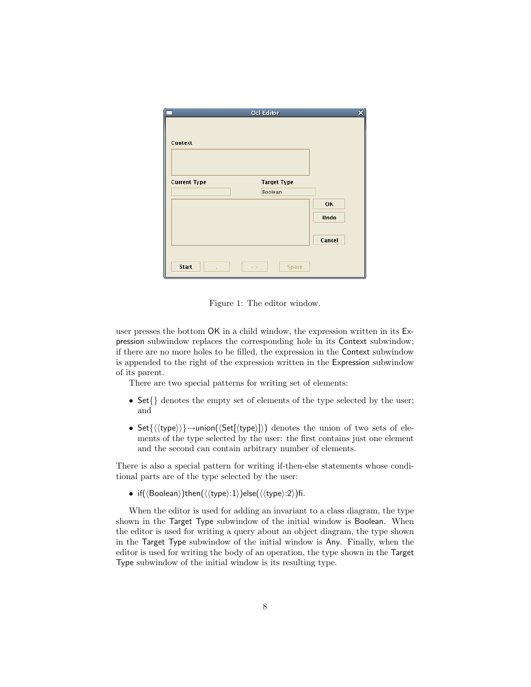|                     | <b>Ocl Editor</b>    | $\overline{\mathbf{x}}$ |
|---------------------|----------------------|-------------------------|
|                     |                      |                         |
|                     |                      |                         |
| Context             |                      |                         |
|                     |                      |                         |
|                     |                      |                         |
|                     |                      |                         |
| <b>Current Type</b> | <b>Target Type</b>   |                         |
|                     |                      |                         |
|                     | Boolean              |                         |
|                     |                      | <b>OK</b>               |
|                     |                      | Undo                    |
|                     |                      |                         |
|                     |                      |                         |
|                     |                      | Cancel                  |
|                     |                      |                         |
|                     |                      |                         |
| Start               | <b>Space</b><br>$->$ |                         |
|                     |                      |                         |

Figure 1: The editor window.

user presses the bottom OK in a child window, the expression written in its Expression subwindow replaces the corresponding hole in its Context subwindow; if there are no more holes to be filled, the expression in the Context subwindow is appended to the right of the expression written in the Expression subwindow of its parent.

There are two special patterns for writing set of elements:

- Set{} denotes the empty set of elements of the type selected by the user; and
- Set $\{\langle \langle type \rangle \rangle\} \rightarrow$ union $(\langle Set[\langle type \rangle])$  denotes the union of two sets of elements of the type selected by the user: the first contains just one element and the second can contain arbitrary number of elements.

There is also a special pattern for writing if-then-else statements whose conditional parts are of the type selected by the user:

• if( $\langle$ Boolean $\rangle$ )then( $\langle$  $\langle$ type $\rangle$ :1 $\rangle$ )else( $\langle$  $\langle$ type $\rangle$ :2 $\rangle$ )fi.

When the editor is used for adding an invariant to a class diagram, the type shown in the Target Type subwindow of the initial window is Boolean. When the editor is used for writing a query about an object diagram, the type shown in the Target Type subwindow of the initial window is Any. Finally, when the editor is used for writing the body of an operation, the type shown in the Target Type subwindow of the initial window is its resulting type.